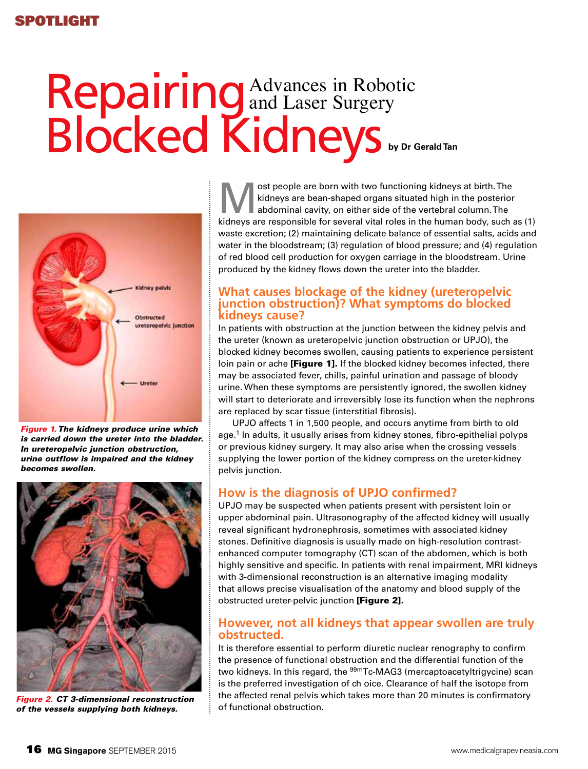# **Repairing**<sup>4</sup> Blocked Kidneys Advances in Robotic and Laser Surgery **by Dr Gerald Tan**



*Figure 1. The kidneys produce urine which is carried down the ureter into the bladder. In ureteropelvic junction obstruction, urine outflow is impaired and the kidney becomes swollen.*



*Figure 2. CT 3-dimensional reconstruction of the vessels supplying both kidneys.*

ost people are born with two functioning kidneys at birth. The kidneys are bean-shaped organs situated high in the posterior abdominal cavity, on either side of the vertebral column. The kidneys are responsible for several vital roles in the human body, such as (1) waste excretion; (2) maintaining delicate balance of essential salts, acids and water in the bloodstream; (3) regulation of blood pressure; and (4) regulation of red blood cell production for oxygen carriage in the bloodstream. Urine produced by the kidney flows down the ureter into the bladder.

### **What causes blockage of the kidney (ureteropelvic junction obstruction)? What symptoms do blocked kidneys cause?**

In patients with obstruction at the junction between the kidney pelvis and the ureter (known as ureteropelvic junction obstruction or UPJO), the blocked kidney becomes swollen, causing patients to experience persistent loin pain or ache [Figure 1]. If the blocked kidney becomes infected, there may be associated fever, chills, painful urination and passage of bloody urine. When these symptoms are persistently ignored, the swollen kidney will start to deteriorate and irreversibly lose its function when the nephrons are replaced by scar tissue (interstitial fibrosis).

UPJO affects 1 in 1,500 people, and occurs anytime from birth to old age.<sup>1</sup> In adults, it usually arises from kidney stones, fibro-epithelial polyps or previous kidney surgery. It may also arise when the crossing vessels supplying the lower portion of the kidney compress on the ureter-kidney pelvis junction.

### **How is the diagnosis of UPJO confirmed?**

UPJO may be suspected when patients present with persistent loin or upper abdominal pain. Ultrasonography of the affected kidney will usually reveal significant hydronephrosis, sometimes with associated kidney stones. Definitive diagnosis is usually made on high-resolution contrastenhanced computer tomography (CT) scan of the abdomen, which is both highly sensitive and specific. In patients with renal impairment, MRI kidneys with 3-dimensional reconstruction is an alternative imaging modality that allows precise visualisation of the anatomy and blood supply of the obstructed ureter-pelvic junction [Figure 2].

### **However, not all kidneys that appear swollen are truly obstructed.**

It is therefore essential to perform diuretic nuclear renography to confirm the presence of functional obstruction and the differential function of the two kidneys. In this regard, the <sup>99m</sup>Tc-MAG3 (mercaptoacetyltrigycine) scan is the preferred investigation of ch oice. Clearance of half the isotope from the affected renal pelvis which takes more than 20 minutes is confirmatory of functional obstruction.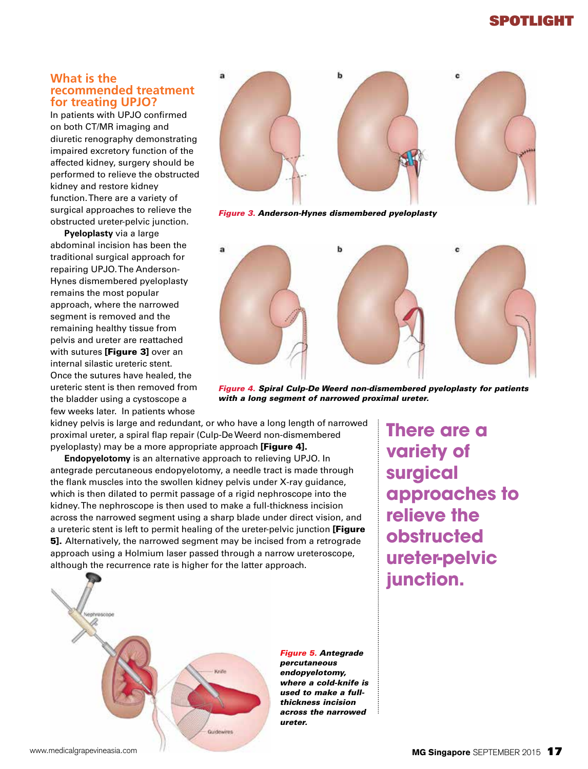## Spotlight

#### **What is the recommended treatment for treating UPJO?**

In patients with UPJO confirmed on both CT/MR imaging and diuretic renography demonstrating impaired excretory function of the affected kidney, surgery should be performed to relieve the obstructed kidney and restore kidney function. There are a variety of surgical approaches to relieve the obstructed ureter-pelvic junction.

**Pyeloplasty** via a large abdominal incision has been the traditional surgical approach for repairing UPJO. The Anderson-Hynes dismembered pyeloplasty remains the most popular approach, where the narrowed segment is removed and the remaining healthy tissue from pelvis and ureter are reattached with sutures [Figure 3] over an internal silastic ureteric stent. Once the sutures have healed, the ureteric stent is then removed from the bladder using a cystoscope a few weeks later. In patients whose



*Figure 3. Anderson-Hynes dismembered pyeloplasty*



*Figure 4. Spiral Culp-De Weerd non-dismembered pyeloplasty for patients with a long segment of narrowed proximal ureter.*

kidney pelvis is large and redundant, or who have a long length of narrowed proximal ureter, a spiral flap repair (Culp-De Weerd non-dismembered pyeloplasty) may be a more appropriate approach [Figure 4].

**Endopyelotomy** is an alternative approach to relieving UPJO. In antegrade percutaneous endopyelotomy, a needle tract is made through the flank muscles into the swollen kidney pelvis under X-ray guidance, which is then dilated to permit passage of a rigid nephroscope into the kidney. The nephroscope is then used to make a full-thickness incision across the narrowed segment using a sharp blade under direct vision, and a ureteric stent is left to permit healing of the ureter-pelvic junction [Figure **5].** Alternatively, the narrowed segment may be incised from a retrograde approach using a Holmium laser passed through a narrow ureteroscope, although the recurrence rate is higher for the latter approach.



*Figure 5. Antegrade percutaneous endopyelotomy, where a cold-knife is used to make a fullthickness incision across the narrowed ureter.*

**There are a variety of surgical approaches to relieve the obstructed ureter-pelvic junction.**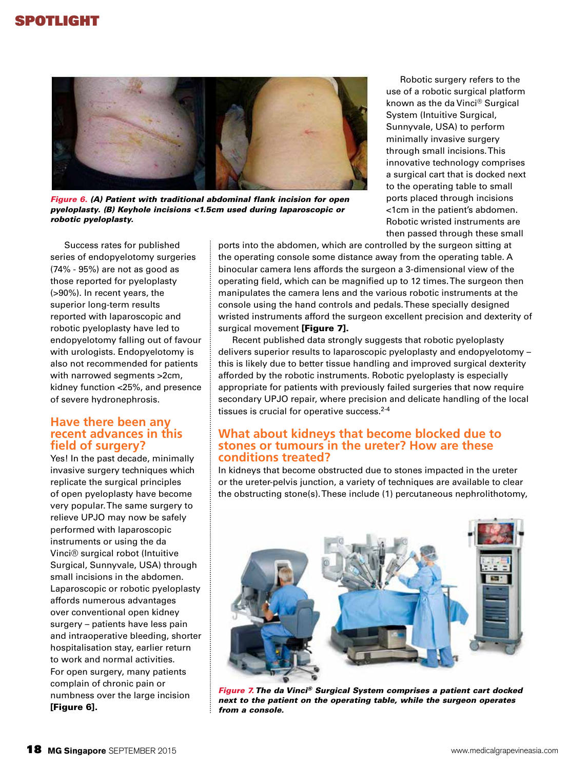

*Figure 6. (A) Patient with traditional abdominal flank incision for open pyeloplasty. (B) Keyhole incisions <1.5cm used during laparoscopic or robotic pyeloplasty.* 

Success rates for published series of endopyelotomy surgeries (74% - 95%) are not as good as those reported for pyeloplasty (>90%). In recent years, the superior long-term results reported with laparoscopic and robotic pyeloplasty have led to endopyelotomy falling out of favour with urologists. Endopyelotomy is also not recommended for patients with narrowed segments >2cm, kidney function <25%, and presence of severe hydronephrosis.

#### **Have there been any recent advances in this field of surgery?**

Yes! In the past decade, minimally invasive surgery techniques which replicate the surgical principles of open pyeloplasty have become very popular. The same surgery to relieve UPJO may now be safely performed with laparoscopic instruments or using the da Vinci® surgical robot (Intuitive Surgical, Sunnyvale, USA) through small incisions in the abdomen. Laparoscopic or robotic pyeloplasty affords numerous advantages over conventional open kidney surgery – patients have less pain and intraoperative bleeding, shorter hospitalisation stay, earlier return to work and normal activities. For open surgery, many patients complain of chronic pain or numbness over the large incision [Figure 6].

ports into the abdomen, which are controlled by the surgeon sitting at the operating console some distance away from the operating table. A binocular camera lens affords the surgeon a 3-dimensional view of the operating field, which can be magnified up to 12 times. The surgeon then manipulates the camera lens and the various robotic instruments at the console using the hand controls and pedals. These specially designed wristed instruments afford the surgeon excellent precision and dexterity of surgical movement [Figure 7].

Recent published data strongly suggests that robotic pyeloplasty delivers superior results to laparoscopic pyeloplasty and endopyelotomy – this is likely due to better tissue handling and improved surgical dexterity afforded by the robotic instruments. Robotic pyeloplasty is especially appropriate for patients with previously failed surgeries that now require secondary UPJO repair, where precision and delicate handling of the local tissues is crucial for operative success.<sup>2-4</sup>

### **What about kidneys that become blocked due to stones or tumours in the ureter? How are these conditions treated?**

In kidneys that become obstructed due to stones impacted in the ureter or the ureter-pelvis junction, a variety of techniques are available to clear the obstructing stone(s). These include (1) percutaneous nephrolithotomy,



*Figure 7. The da Vinci® Surgical System comprises a patient cart docked next to the patient on the operating table, while the surgeon operates from a console.*

minimally invasive surgery through small incisions. This innovative technology comprises a surgical cart that is docked next to the operating table to small ports placed through incisions <1cm in the patient's abdomen. Robotic wristed instruments are then passed through these small

Robotic surgery refers to the use of a robotic surgical platform known as the da Vinci® Surgical System (Intuitive Surgical, Sunnyvale, USA) to perform